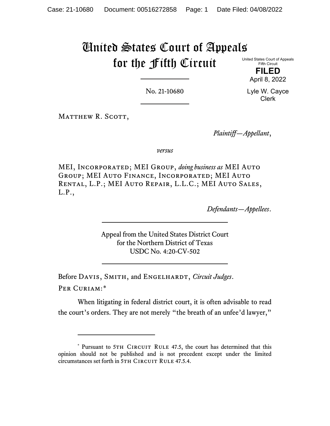# United States Court of Appeals for the Fifth Circuit

United States Court of Appeals Fifth Circuit

> **FILED** April 8, 2022

No. 21-10680

Lyle W. Cayce Clerk

MATTHEW R. SCOTT,

*Plaintiff—Appellant*,

*versus*

MEI, Incorporated; MEI Group, *doing business as* MEI Auto Group; MEI Auto Finance, Incorporated; MEI Auto Rental, L.P.; MEI Auto Repair, L.L.C.; MEI Auto Sales, L.P.,

*Defendants—Appellees*.

Appeal from the United States District Court for the Northern District of Texas USDC No. 4:20-CV-502

Before DAVIS, SMITH, and ENGELHARDT, *Circuit Judges*. Per Curiam:[\\*](#page-0-0)

When litigating in federal district court, it is often advisable to read the court's orders. They are not merely "the breath of an unfee'd lawyer,"

<span id="page-0-0"></span><sup>\*</sup> Pursuant to 5TH CIRCUIT RULE 47.5, the court has determined that this opinion should not be published and is not precedent except under the limited circumstances set forth in 5TH CIRCUIT RULE 47.5.4.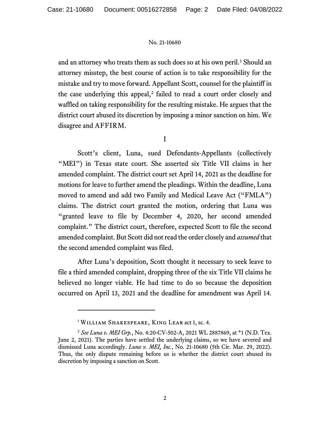and an attorney who treats them as such does so at his own peril.<sup>[1](#page-1-0)</sup> Should an attorney misstep, the best course of action is to take responsibility for the mistake and try to move forward. Appellant Scott, counsel for the plaintiff in the case underlying this appeal,<sup>[2](#page-1-1)</sup> failed to read a court order closely and waffled on taking responsibility for the resulting mistake. He argues that the district court abused its discretion by imposing a minor sanction on him. We disagree and AFFIRM.

I

Scott's client, Luna, sued Defendants-Appellants (collectively "MEI") in Texas state court. She asserted six Title VII claims in her amended complaint. The district court set April 14, 2021 as the deadline for motions for leave to further amend the pleadings. Within the deadline, Luna moved to amend and add two Family and Medical Leave Act ("FMLA") claims. The district court granted the motion, ordering that Luna was "granted leave to file by December 4, 2020, her second amended complaint." The district court, therefore, expected Scott to file the second amended complaint. But Scott did not read the order closely and *assumed* that the second amended complaint was filed.

After Luna's deposition, Scott thought it necessary to seek leave to file a third amended complaint, dropping three of the six Title VII claims he believed no longer viable. He had time to do so because the deposition occurred on April 13, 2021 and the deadline for amendment was April 14.

<sup>&</sup>lt;sup>1</sup> WILLIAM SHAKESPEARE, KING LEAR act 1, sc. 4.

<span id="page-1-1"></span><span id="page-1-0"></span><sup>2</sup> *See Luna v. MEI Grp.*, No. 4:20-CV-502-A, 2021 WL 2887869, at \*1 (N.D. Tex. June 2, 2021). The parties have settled the underlying claims, so we have severed and dismissed Luna accordingly. *Luna v. MEI, Inc.*, No. 21-10680 (5th Cir. Mar. 29, 2022). Thus, the only dispute remaining before us is whether the district court abused its discretion by imposing a sanction on Scott.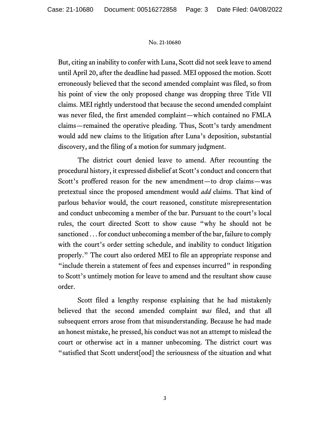But, citing an inability to confer with Luna, Scott did not seek leave to amend until April 20, after the deadline had passed. MEI opposed the motion. Scott erroneously believed that the second amended complaint was filed, so from his point of view the only proposed change was dropping three Title VII claims. MEI rightly understood that because the second amended complaint was never filed, the first amended complaint—which contained no FMLA claims—remained the operative pleading. Thus, Scott's tardy amendment would add new claims to the litigation after Luna's deposition, substantial discovery, and the filing of a motion for summary judgment.

The district court denied leave to amend. After recounting the procedural history, it expressed disbelief at Scott's conduct and concern that Scott's proffered reason for the new amendment—to drop claims—was pretextual since the proposed amendment would *add* claims. That kind of parlous behavior would, the court reasoned, constitute misrepresentation and conduct unbecoming a member of the bar. Pursuant to the court's local rules, the court directed Scott to show cause "why he should not be sanctioned . . . for conduct unbecoming a member of the bar, failure to comply with the court's order setting schedule, and inability to conduct litigation properly." The court also ordered MEI to file an appropriate response and "include therein a statement of fees and expenses incurred" in responding to Scott's untimely motion for leave to amend and the resultant show cause order.

Scott filed a lengthy response explaining that he had mistakenly believed that the second amended complaint *was* filed, and that all subsequent errors arose from that misunderstanding. Because he had made an honest mistake, he pressed, his conduct was not an attempt to mislead the court or otherwise act in a manner unbecoming. The district court was "satisfied that Scott underst[ood] the seriousness of the situation and what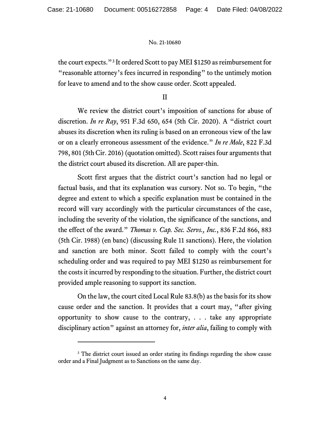the court expects."[3](#page-3-0) It ordered Scott to pay MEI \$1250 as reimbursement for "reasonable attorney's fees incurred in responding" to the untimely motion for leave to amend and to the show cause order. Scott appealed.

II

We review the district court's imposition of sanctions for abuse of discretion. *In re Ray*, 951 F.3d 650, 654 (5th Cir. 2020). A "district court abuses its discretion when its ruling is based on an erroneous view of the law or on a clearly erroneous assessment of the evidence." *In re Mole*, 822 F.3d 798, 801 (5th Cir. 2016) (quotation omitted). Scott raises four arguments that the district court abused its discretion. All are paper-thin.

Scott first argues that the district court's sanction had no legal or factual basis, and that its explanation was cursory. Not so. To begin, "the degree and extent to which a specific explanation must be contained in the record will vary accordingly with the particular circumstances of the case, including the severity of the violation, the significance of the sanctions, and the effect of the award." *Thomas v. Cap. Sec. Servs., Inc.*, 836 F.2d 866, 883 (5th Cir. 1988) (en banc) (discussing Rule 11 sanctions). Here, the violation and sanction are both minor. Scott failed to comply with the court's scheduling order and was required to pay MEI \$1250 as reimbursement for the costs it incurred by responding to the situation. Further, the district court provided ample reasoning to support its sanction.

On the law, the court cited Local Rule 83.8(b) as the basis for its show cause order and the sanction. It provides that a court may, "after giving opportunity to show cause to the contrary, . . . take any appropriate disciplinary action" against an attorney for, *inter alia*, failing to comply with

<span id="page-3-0"></span><sup>&</sup>lt;sup>3</sup> The district court issued an order stating its findings regarding the show cause order and a Final Judgment as to Sanctions on the same day.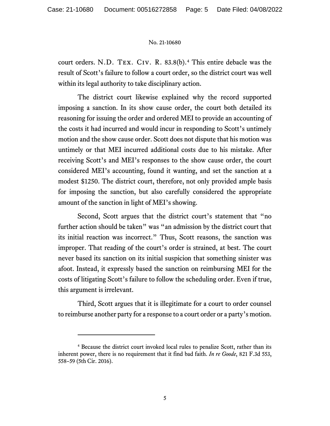court orders. N.D. Tex. Civ. R. 83.8(b).[4](#page-4-0) This entire debacle was the result of Scott's failure to follow a court order, so the district court was well within its legal authority to take disciplinary action.

The district court likewise explained why the record supported imposing a sanction. In its show cause order, the court both detailed its reasoning for issuing the order and ordered MEI to provide an accounting of the costs it had incurred and would incur in responding to Scott's untimely motion and the show cause order. Scott does not dispute that his motion was untimely or that MEI incurred additional costs due to his mistake. After receiving Scott's and MEI's responses to the show cause order, the court considered MEI's accounting, found it wanting, and set the sanction at a modest \$1250. The district court, therefore, not only provided ample basis for imposing the sanction, but also carefully considered the appropriate amount of the sanction in light of MEI's showing.

Second, Scott argues that the district court's statement that "no further action should be taken" was "an admission by the district court that its initial reaction was incorrect." Thus, Scott reasons, the sanction was improper. That reading of the court's order is strained, at best. The court never based its sanction on its initial suspicion that something sinister was afoot. Instead, it expressly based the sanction on reimbursing MEI for the costs of litigating Scott's failure to follow the scheduling order. Even if true, this argument is irrelevant.

Third, Scott argues that it is illegitimate for a court to order counsel to reimburse another party for a response to a court order or a party's motion.

<span id="page-4-0"></span><sup>4</sup> Because the district court invoked local rules to penalize Scott, rather than its inherent power, there is no requirement that it find bad faith. *In re Goode*, 821 F.3d 553, 558–59 (5th Cir. 2016).